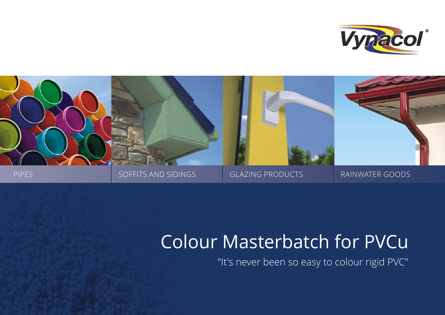



# Colour Masterbatch for PVCu

"It's never been so easy to colour rigid PVC"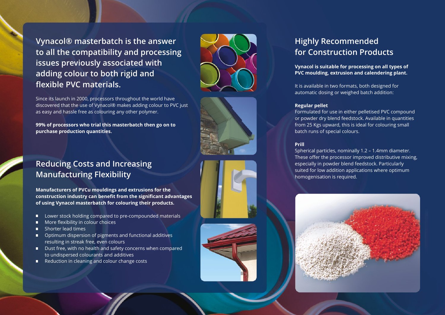**Vynacol® masterbatch is the answer to all the compatibility and processing issues previously associated with adding colour to both rigid and flexible PVC materials.**

Since its launch in 2000, processors throughout the world have discovered that the use of Vynacol® makes adding colour to PVC just as easy and hassle free as colouring any other polymer.

**99% of processors who trial this masterbatch then go on to purchase production quantities.**





## **Reducing Costs and Increasing Manufacturing Flexibility**

**Manufacturers of PVCu mouldings and extrusions for the construction industry can benefit from the significant advantages of using Vynacol masterbatch for colouring their products.** 

- Lower stock holding compared to pre-compounded materials
- More flexibility in colour choices
- **Shorter lead times**
- **Optimum dispersion of pigments and functional additives** resulting in streak free, even colours
- **Dust free, with no health and safety concerns when compared** to undispersed colourants and additives
- Reduction in cleaning and colour change costs





## **Highly Recommended for Construction Products**

**Vynacol is suitable for processing on all types of PVC moulding, extrusion and calendering plant.** 

It is available in two formats, both designed for automatic dosing or weighed batch addition:

#### **Regular pellet**

Formulated for use in either pelletised PVC compound or powder dry blend feedstock. Available in quantities from 25 Kgs upward, this is ideal for colouring small batch runs of special colours.

#### **Prill**

Spherical particles, nominally 1.2 – 1.4mm diameter. These offer the processor improved distributive mixing, especially in powder blend feedstock. Particularly suited for low addition applications where optimum homogenisation is required.

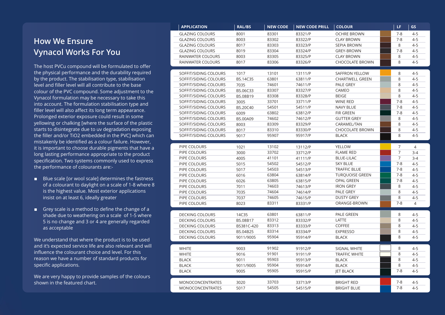## **How We Ensure Vynacol Works For You**

The host PVCu compound will be formulated to offer the physical performance and the durability required by the product. The stabilisation type, stabilisation level and filler level will all contribute to the base colour of the PVC compound. Some adjustment to the Vynacol formulation may be necessary to take this into account. The formulation stabilisation type and filler level will also affect its long term appearance. Prolonged exterior exposure could result in some yellowing or chalking [where the surface of the plastic starts to disintegrate due to uv degradation exposing the filler and/or TiO2 embedded in the PVC] which can mistakenly be identified as a colour failure. However, it is important to choose durable pigments that have a long lasting performance appropriate to the product specification. Two systems commonly used to express the performance of colourants are:-

- Blue scale for wool scale] determines the fastness of a colourant to daylight on a scale of 1-8 where 8 is the highest value. Most exterior applications insist on at least 6, ideally greater
- Gr ey scale is a method to define the change of a shade due to weathering on a scale of 1-5 where 5 is no change and 3 or 4 are generally regarded as acceptable

We understand that where the product is to be used and it 's expected service life are also relevant and will influence the colourant choice and level. For this reason we have a number of standard products for specific applications.

We are very happy to pr ovide samples of the colours shown in the featured chart.

| <b>APPLICATION</b>      | <b>RAL/BS</b> | <b>NEW CODE</b> | <b>NEW CODE PRILL</b> | <b>COLOUR</b>          | LF.            | <b>GS</b>      |
|-------------------------|---------------|-----------------|-----------------------|------------------------|----------------|----------------|
| <b>GLAZING COLOURS</b>  | 8001          | 83301           | 83321/P               | <b>OCHRE BROWN</b>     | $7 - 8$        | $4 - 5$        |
| <b>GLAZING COLOURS</b>  | 8003          | 83302           | 83322/P               | <b>CLAY BROWN</b>      | $7 - 8$        | $4 - 5$        |
| <b>GLAZING COLOURS</b>  | 8017          | 83303           | 83323/P               | <b>SEPIA BROWN</b>     | 8              | $4 - 5$        |
| <b>GLAZING COLOURS</b>  | 8019          | 83304           | 83324/P               | <b>GREY-BROWN</b>      | $7 - 8$        | $4 - 5$        |
| RAINWATER COLOURS       | 8003          | 83305           | 83325/P               | <b>CLAY BROWN</b>      | 8              | $4 - 5$        |
| RAINWATER COLOURS       | 8017          | 83306           | 83326/P               | CHOCOLATE BROWN        | 8              | $4 - 5$        |
| SOFFIT/SIDING COLOURS   | 1017          | 13101           | 13111/P               | SAFFRON YELLOW         | 8              | $4 - 5$        |
| SOFFIT/SIDING COLOURS   | BS.14C35      | 63801           | 63811/P               | <b>CHARTWELL GREEN</b> | 8              | $4 - 5$        |
| SOFFIT/SIDING COLOURS   | 7035          | 74601           | 74611/P               | PALE GREY              | 8              | $4 - 5$        |
| SOFFIT/SIDING COLOURS   | BS.06C33      | 83307           | 83327/P               | CAMEO                  | 8              | $4 - 5$        |
| SOFFIT/SIDING COLOURS   | BS.08B19      | 83308           | 83328/P               | <b>BEIGE</b>           | 8              | $4 - 5$        |
| SOFFIT/SIDING COLOURS   | 3005          | 33701           | 33711/P               | <b>WINE RED</b>        | $7 - 8$        | $4 - 5$        |
| SOFFIT/SIDING COLOURS   | BS.20C40      | 54501           | 54511/P               | NAVY BLUE              | $7 - 8$        | $4 - 5$        |
| SOFFIT/SIDING COLOURS   | 6009          | 63802           | 63812/P               | FIR GREEN              | $7 - 8$        | $4 - 5$        |
| SOFFIT/SIDING COLOURS   | BS.00A09      | 74602           | 74612/P               | <b>GUTTER GREY</b>     | 8              | $4 - 5$        |
| SOFFIT/SIDING COLOURS   | 8003          | 83309           | 83329/P               | CARAMEL/TAN            | 8              | $4 - 5$        |
| SOFFIT/SIDING COLOURS   | 8017          | 83310           | 83330/P               | <b>CHOCOLATE BROWN</b> | 8              | $4 - 5$        |
| SOFFIT/SIDING COLOURS   | 9017          | 95907           | 95917/P               | <b>BLACK</b>           | 8              | $4 - 5$        |
|                         |               |                 |                       |                        |                |                |
| PIPE COLOURS            | 1021          | 13102           | 13112/P               | YELLOW                 | 7              | $\overline{4}$ |
| PIPE COLOURS            | 3000          | 33702           | 33712/P               | <b>FLAME RED</b>       | 7              | $3-4$          |
| PIPE COLOURS            | 4005          | 41101           | 41111/P               | <b>BLUE-LILAC</b>      | $\overline{7}$ | $3-4$          |
| PIPE COLOURS            | 5015          | 54502           | 54512/P               | <b>SKY BLUE</b>        | $7 - 8$        | $4 - 5$        |
| PIPE COLOURS            | 5017          | 54503           | 54513/P               | <b>TRAFFIC BLUE</b>    | $7 - 8$        | $4 - 5$        |
| PIPE COLOURS            | 6016          | 63804           | 63814/P               | <b>TURQUOISE GREEN</b> | $7 - 8$        | $4 - 5$        |
| PIPE COLOURS            | 6026          | 63805           | 63815/P               | <b>OPAL GREEN</b>      | $7 - 8$        | $4 - 5$        |
| PIPE COLOURS            | 7011          | 74603           | 74613/P               | <b>IRON GREY</b>       | 8              | $4 - 5$        |
| PIPE COLOURS            | 7035          | 74604           | 74614/P               | PALE GREY              | 8              | $4 - 5$        |
| PIPE COLOURS            | 7037          | 74605           | 74615/P               | <b>DUSTY GREY</b>      | $\overline{8}$ | $4 - 5$        |
| PIPE COLOURS            | 8023          | 83311           | 83331/P               | ORANGE-BROWN           | $7 - 8$        | $\overline{4}$ |
| <b>DECKING COLOURS</b>  | 14C35         | 63801           | 63811/P               | PALE GREEN             | 8              | $4 - 5$        |
| <b>DECKING COLOURS</b>  | BS.08B17      | 83312           | 83332/P               | LATTE                  | 8              | $4 - 5$        |
| <b>DECKING COLOURS</b>  | BS381C-420    | 83313           | 83333/P               | COFFEE                 | 8              | $4 - 5$        |
| <b>DECKING COLOURS</b>  | BS.04B25      | 83314           | 83334/P               | <b>EXPRESSO</b>        | 8              | $4 - 5$        |
| <b>DECKING COLOURS</b>  | 9011/9005     | 95904           | 95914/P               | <b>BLACK</b>           | 8              | $4 - 5$        |
|                         |               |                 |                       |                        |                |                |
| <b>WHITE</b>            | 9003          | 91902           | 91912/P               | SIGNAL WHITE           | 8              | $4 - 5$        |
| <b>WHITE</b>            | 9016          | 91901           | 91911/P               | <b>TRAFFIC WHITE</b>   | 8              | $4 - 5$        |
| <b>BLACK</b>            | 9011          | 95903           | 95913/P               | <b>BLACK</b>           | 8              | $4 - 5$        |
| <b>BLACK</b>            | 9011/9005     | 95904           | 95914/P               | <b>BLACK</b>           | 8              | $4 - 5$        |
| <b>BLACK</b>            | 9005          | 95905           | 95915/P               | <b>JET BLACK</b>       | $7 - 8$        | $4 - 5$        |
|                         |               |                 |                       |                        |                |                |
| <b>MONOCONCENTRATES</b> | 3020          | 33703           | 33713/P               | <b>BRIGHT RED</b>      | $7 - 8$        | $4 - 5$        |
| <b>MONOCONCENTRATES</b> | 5017          | 54505           | 54515/P               | <b>BRIGHT BLUE</b>     | $7 - 8$        | $4 - 5$        |